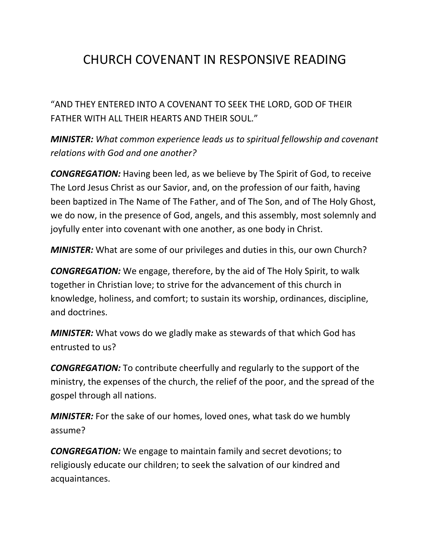## CHURCH COVENANT IN RESPONSIVE READING

"AND THEY ENTERED INTO A COVENANT TO SEEK THE LORD, GOD OF THEIR FATHER WITH ALL THEIR HEARTS AND THEIR SOUL."

*MINISTER: What common experience leads us to spiritual fellowship and covenant relations with God and one another?*

*CONGREGATION:* Having been led, as we believe by The Spirit of God, to receive The Lord Jesus Christ as our Savior, and, on the profession of our faith, having been baptized in The Name of The Father, and of The Son, and of The Holy Ghost, we do now, in the presence of God, angels, and this assembly, most solemnly and joyfully enter into covenant with one another, as one body in Christ.

*MINISTER:* What are some of our privileges and duties in this, our own Church?

*CONGREGATION:* We engage, therefore, by the aid of The Holy Spirit, to walk together in Christian love; to strive for the advancement of this church in knowledge, holiness, and comfort; to sustain its worship, ordinances, discipline, and doctrines.

*MINISTER:* What vows do we gladly make as stewards of that which God has entrusted to us?

*CONGREGATION:* To contribute cheerfully and regularly to the support of the ministry, the expenses of the church, the relief of the poor, and the spread of the gospel through all nations.

*MINISTER:* For the sake of our homes, loved ones, what task do we humbly assume?

*CONGREGATION:* We engage to maintain family and secret devotions; to religiously educate our children; to seek the salvation of our kindred and acquaintances.